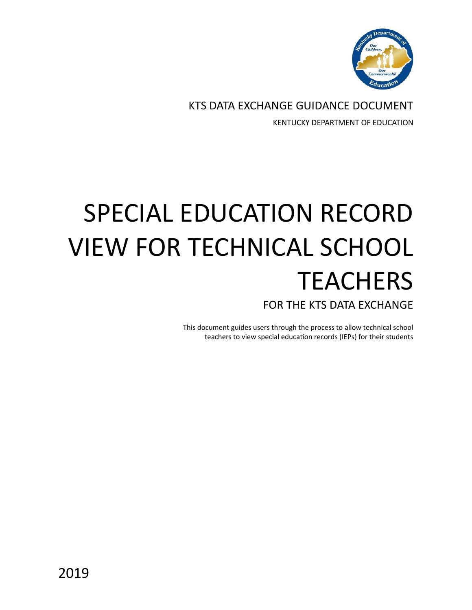

KTS DATA EXCHANGE GUIDANCE DOCUMENT KENTUCKY DEPARTMENT OF EDUCATION

## SPECIAL EDUCATION RECORD VIEW FOR TECHNICAL SCHOOL **TEACHERS** FOR THE KTS DATA EXCHANGE

This document guides users through the process to allow technical school teachers to view special education records (IEPs) for their students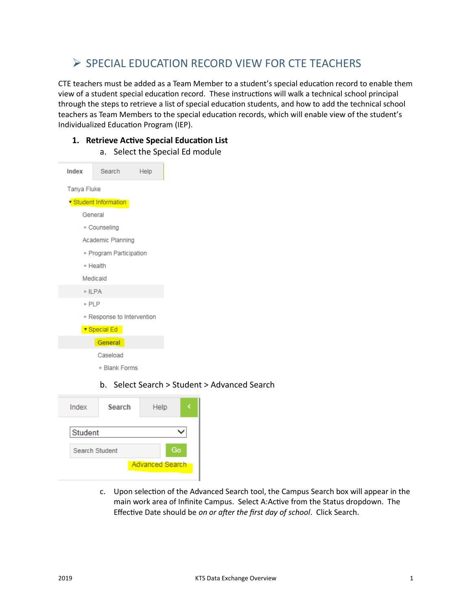## ➢ SPECIAL EDUCATION RECORD VIEW FOR CTE TEACHERS

CTE teachers must be added as a Team Member to a student's special education record to enable them view of a student special education record. These instructions will walk a technical school principal through the steps to retrieve a list of special education students, and how to add the technical school teachers as Team Members to the special education records, which will enable view of the student's Individualized Education Program (IEP).

## **1. Retrieve Active Special Education List**

a. Select the Special Ed module

- Index Search Help **Tanya Fluke** ▼ Student Information General ▶ Counseling Academic Planning ▶ Program Participation ▶ Health Medicaid  $\triangleright$  ILPA  $\triangleright$  PLP Response to Intervention ▼ Special Ed General Caseload ▶ Blank Forms
	- b. Select Search > Student > Advanced Search

| Index                  | <b>Search</b> | Help |  |
|------------------------|---------------|------|--|
| Student                |               |      |  |
| <b>Search Student</b>  | Go            |      |  |
| <b>Advanced Search</b> |               |      |  |

c. Upon selection of the Advanced Search tool, the Campus Search box will appear in the main work area of Infinite Campus. Select A:Active from the Status dropdown. The Effective Date should be *on or after the first day of school*. Click Search.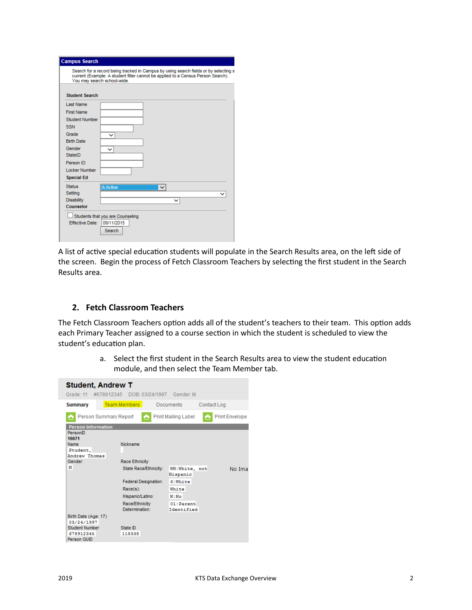| <b>Campus Search</b>                                                                                                                                                                                    |              |
|---------------------------------------------------------------------------------------------------------------------------------------------------------------------------------------------------------|--------------|
| Search for a record being tracked in Campus by using search fields or by selecting a<br>current (Example: A student filter cannot be applied to a Census Person Search).<br>You may search school-wide. |              |
| <b>Student Search</b>                                                                                                                                                                                   |              |
| <b>Last Name</b>                                                                                                                                                                                        |              |
| <b>First Name</b>                                                                                                                                                                                       |              |
| Student Number                                                                                                                                                                                          |              |
| <b>SSN</b>                                                                                                                                                                                              |              |
| Grade<br>$\check{ }$                                                                                                                                                                                    |              |
| <b>Birth Date</b>                                                                                                                                                                                       |              |
| Gender<br>◡                                                                                                                                                                                             |              |
| StateID                                                                                                                                                                                                 |              |
| Person ID                                                                                                                                                                                               |              |
| Locker Number                                                                                                                                                                                           |              |
| <b>Special Ed</b>                                                                                                                                                                                       |              |
| <b>Status</b><br>A: Active                                                                                                                                                                              | $\checkmark$ |
| Setting                                                                                                                                                                                                 |              |
| <b>Disability</b>                                                                                                                                                                                       | $\checkmark$ |
| Counselor                                                                                                                                                                                               |              |
| Students that you are Counseling                                                                                                                                                                        |              |
| 08/11/2015<br>Effective Date:                                                                                                                                                                           |              |
| Search                                                                                                                                                                                                  |              |
|                                                                                                                                                                                                         |              |

A list of active special education students will populate in the Search Results area, on the left side of the screen. Begin the process of Fetch Classroom Teachers by selecting the first student in the Search Results area.

## **2. Fetch Classroom Teachers**

The Fetch Classroom Teachers option adds all of the student's teachers to their team. This option adds each Primary Teacher assigned to a course section in which the student is scheduled to view the student's education plan.

> a. Select the first student in the Search Results area to view the student education module, and then select the Team Member tab.

| <b>Student, Andrew T</b><br>Grade: 11<br>DOB: 03/24/1997 Gender: M<br>#678912345              |                                   |                            |             |                       |  |  |
|-----------------------------------------------------------------------------------------------|-----------------------------------|----------------------------|-------------|-----------------------|--|--|
| <b>Summary</b>                                                                                | <b>Team Members</b>               | Documents                  | Contact Log |                       |  |  |
| Person Summary Report                                                                         | œ                                 | <b>Print Mailing Label</b> |             | <b>Print Envelope</b> |  |  |
| <b>Person Information</b><br>PersonID<br>16671<br>Name<br>Student,<br>Andrew Thomas<br>Gender | Nickname<br><b>Race Ethnicity</b> |                            |             |                       |  |  |
| М                                                                                             | State Race/Ethnicity:             | WH:White, not<br>Hispanic  |             | No Ima                |  |  |
|                                                                                               | <b>Federal Designation:</b>       | 6:White                    |             |                       |  |  |
|                                                                                               | $Race(s)$ :                       | White                      |             |                       |  |  |
|                                                                                               | Hispanic/Latino:                  | N : No                     |             |                       |  |  |
|                                                                                               | Race/Ethnicity<br>Determination:  | 01:Parent<br>Identified    |             |                       |  |  |
| Birth Date (Age: 17)<br>03/24/1997<br>Student Number<br>678912345<br>Person GUID              | State ID<br>118338                |                            |             |                       |  |  |